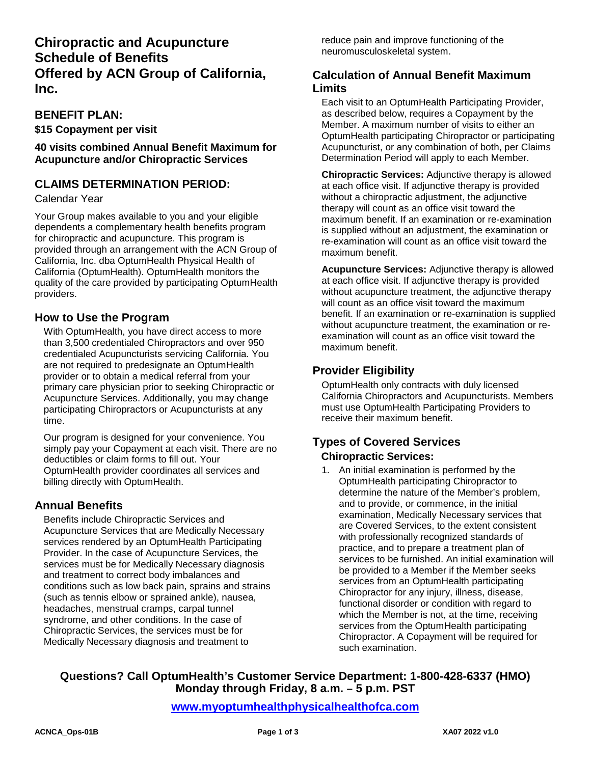## **Chiropractic and Acupuncture Schedule of Benefits Offered by ACN Group of California, Inc.**

#### **BENEFIT PLAN:**

**\$15 Copayment per visit**

**40 visits combined Annual Benefit Maximum for Acupuncture and/or Chiropractic Services**

## **CLAIMS DETERMINATION PERIOD:**

#### Calendar Year

Your Group makes available to you and your eligible dependents a complementary health benefits program for chiropractic and acupuncture. This program is provided through an arrangement with the ACN Group of California, Inc. dba OptumHealth Physical Health of California (OptumHealth). OptumHealth monitors the quality of the care provided by participating OptumHealth providers.

## **How to Use the Program**

With OptumHealth, you have direct access to more than 3,500 credentialed Chiropractors and over 950 credentialed Acupuncturists servicing California. You are not required to predesignate an OptumHealth provider or to obtain a medical referral from your primary care physician prior to seeking Chiropractic or Acupuncture Services. Additionally, you may change participating Chiropractors or Acupuncturists at any time.

Our program is designed for your convenience. You simply pay your Copayment at each visit. There are no deductibles or claim forms to fill out. Your OptumHealth provider coordinates all services and billing directly with OptumHealth.

## **Annual Benefits**

Benefits include Chiropractic Services and Acupuncture Services that are Medically Necessary services rendered by an OptumHealth Participating Provider. In the case of Acupuncture Services, the services must be for Medically Necessary diagnosis and treatment to correct body imbalances and conditions such as low back pain, sprains and strains (such as tennis elbow or sprained ankle), nausea, headaches, menstrual cramps, carpal tunnel syndrome, and other conditions. In the case of Chiropractic Services, the services must be for Medically Necessary diagnosis and treatment to

reduce pain and improve functioning of the neuromusculoskeletal system.

#### **Calculation of Annual Benefit Maximum Limits**

Each visit to an OptumHealth Participating Provider, as described below, requires a Copayment by the Member. A maximum number of visits to either an OptumHealth participating Chiropractor or participating Acupuncturist, or any combination of both, per Claims Determination Period will apply to each Member.

**Chiropractic Services:** Adjunctive therapy is allowed at each office visit. If adjunctive therapy is provided without a chiropractic adjustment, the adjunctive therapy will count as an office visit toward the maximum benefit. If an examination or re-examination is supplied without an adjustment, the examination or re-examination will count as an office visit toward the maximum benefit.

**Acupuncture Services:** Adjunctive therapy is allowed at each office visit. If adjunctive therapy is provided without acupuncture treatment, the adjunctive therapy will count as an office visit toward the maximum benefit. If an examination or re-examination is supplied without acupuncture treatment, the examination or reexamination will count as an office visit toward the maximum benefit.

## **Provider Eligibility**

OptumHealth only contracts with duly licensed California Chiropractors and Acupuncturists. Members must use OptumHealth Participating Providers to receive their maximum benefit.

# **Types of Covered Services**

## **Chiropractic Services:**

1. An initial examination is performed by the OptumHealth participating Chiropractor to determine the nature of the Member's problem, and to provide, or commence, in the initial examination, Medically Necessary services that are Covered Services, to the extent consistent with professionally recognized standards of practice, and to prepare a treatment plan of services to be furnished. An initial examination will be provided to a Member if the Member seeks services from an OptumHealth participating Chiropractor for any injury, illness, disease, functional disorder or condition with regard to which the Member is not, at the time, receiving services from the OptumHealth participating Chiropractor. A Copayment will be required for such examination.

## **Questions? Call OptumHealth's Customer Service Department: 1-800-428-6337 (HMO) Monday through Friday, 8 a.m. – 5 p.m. PST**

**[www.myoptumhealthphysicalhealthofca.com](http://www.myoptumhealthphysicalhealthofca.com/)**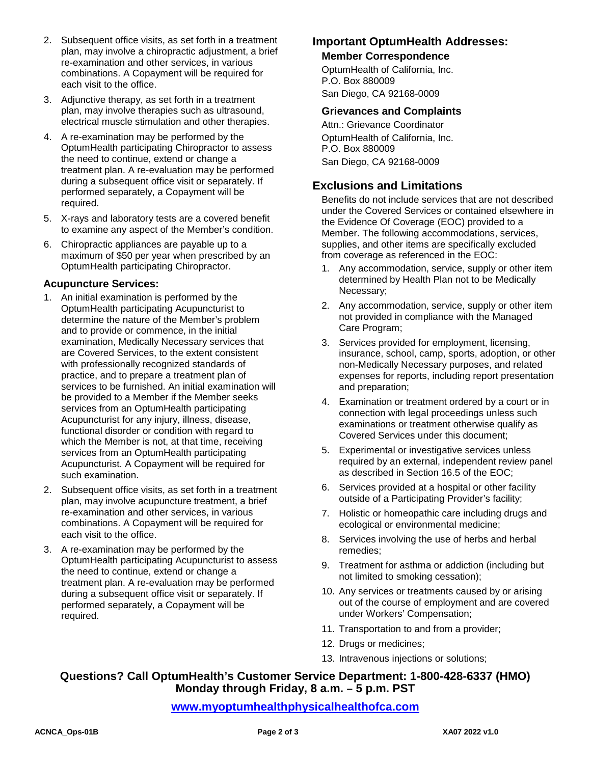- 2. Subsequent office visits, as set forth in a treatment plan, may involve a chiropractic adjustment, a brief re-examination and other services, in various combinations. A Copayment will be required for each visit to the office.
- 3. Adjunctive therapy, as set forth in a treatment plan, may involve therapies such as ultrasound, electrical muscle stimulation and other therapies.
- 4. A re-examination may be performed by the OptumHealth participating Chiropractor to assess the need to continue, extend or change a treatment plan. A re-evaluation may be performed during a subsequent office visit or separately. If performed separately, a Copayment will be required.
- 5. X-rays and laboratory tests are a covered benefit to examine any aspect of the Member's condition.
- 6. Chiropractic appliances are payable up to a maximum of \$50 per year when prescribed by an OptumHealth participating Chiropractor.

#### **Acupuncture Services:**

- 1. An initial examination is performed by the OptumHealth participating Acupuncturist to determine the nature of the Member's problem and to provide or commence, in the initial examination, Medically Necessary services that are Covered Services, to the extent consistent with professionally recognized standards of practice, and to prepare a treatment plan of services to be furnished. An initial examination will be provided to a Member if the Member seeks services from an OptumHealth participating Acupuncturist for any injury, illness, disease, functional disorder or condition with regard to which the Member is not, at that time, receiving services from an OptumHealth participating Acupuncturist. A Copayment will be required for such examination.
- 2. Subsequent office visits, as set forth in a treatment plan, may involve acupuncture treatment, a brief re-examination and other services, in various combinations. A Copayment will be required for each visit to the office.
- 3. A re-examination may be performed by the OptumHealth participating Acupuncturist to assess the need to continue, extend or change a treatment plan. A re-evaluation may be performed during a subsequent office visit or separately. If performed separately, a Copayment will be required.

## **Important OptumHealth Addresses:**

#### **Member Correspondence**

OptumHealth of California, Inc. P.O. Box 880009 San Diego, CA 92168-0009

#### **Grievances and Complaints**

Attn.: Grievance Coordinator OptumHealth of California, Inc. P.O. Box 880009 San Diego, CA 92168-0009

## **Exclusions and Limitations**

Benefits do not include services that are not described under the Covered Services or contained elsewhere in the Evidence Of Coverage (EOC) provided to a Member. The following accommodations, services, supplies, and other items are specifically excluded from coverage as referenced in the EOC:

- 1. Any accommodation, service, supply or other item determined by Health Plan not to be Medically Necessary;
- 2. Any accommodation, service, supply or other item not provided in compliance with the Managed Care Program;
- 3. Services provided for employment, licensing, insurance, school, camp, sports, adoption, or other non-Medically Necessary purposes, and related expenses for reports, including report presentation and preparation;
- 4. Examination or treatment ordered by a court or in connection with legal proceedings unless such examinations or treatment otherwise qualify as Covered Services under this document;
- 5. Experimental or investigative services unless required by an external, independent review panel as described in Section 16.5 of the EOC;
- 6. Services provided at a hospital or other facility outside of a Participating Provider's facility;
- 7. Holistic or homeopathic care including drugs and ecological or environmental medicine;
- 8. Services involving the use of herbs and herbal remedies;
- 9. Treatment for asthma or addiction (including but not limited to smoking cessation);
- 10. Any services or treatments caused by or arising out of the course of employment and are covered under Workers' Compensation;
- 11. Transportation to and from a provider;
- 12. Drugs or medicines;
- 13. Intravenous injections or solutions;

## **Questions? Call OptumHealth's Customer Service Department: 1-800-428-6337 (HMO) Monday through Friday, 8 a.m. – 5 p.m. PST**

**[www.myoptumhealthphysicalhealthofca.com](http://www.myoptumhealthphysicalhealthofca.com/)**